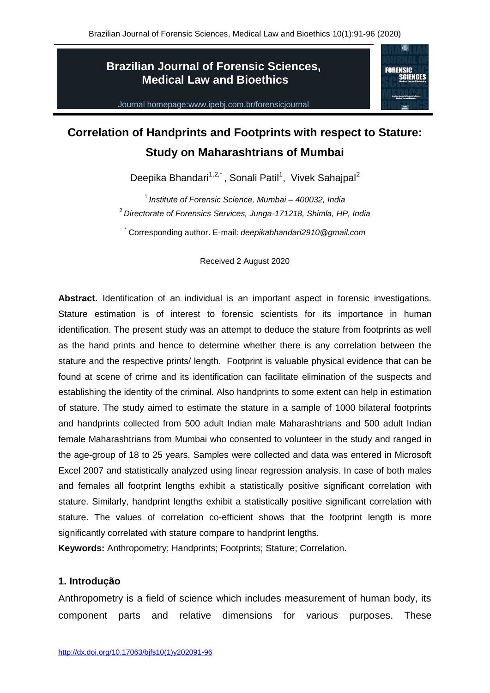## **Brazilian Journal of Forensic Sciences, Medical Law and Bioethics**



Journal homepage:www.ipebj.com.br/forensicjournal

# **Correlation of Handprints and Footprints with respect to Stature: Study on Maharashtrians of Mumbai**

Deepika Bhandari<sup>1,2,\*</sup>, Sonali Patil<sup>1</sup>, Vivek Sahajpal<sup>2</sup>

<sup>1</sup>*Institute of Forensic Science, Mumbai – 400032, India* <sup>2</sup>*Directorate of Forensics Services, Junga-171218, Shimla, HP, India*

\* Corresponding author. E-mail: *deepikabhandari2910@gmail.com*

Received 2 August 2020

**Abstract.** Identification of an individual is an important aspect in forensic investigations. Stature estimation is of interest to forensic scientists for its importance in human identification. The present study was an attempt to deduce the stature from footprints as well as the hand prints and hence to determine whether there is any correlation between the stature and the respective prints/ length. Footprint is valuable physical evidence that can be found at scene of crime and its identification can facilitate elimination of the suspects and establishing the identity of the criminal. Also handprints to some extent can help in estimation of stature. The study aimed to estimate the stature in a sample of 1000 bilateral footprints and handprints collected from 500 adult Indian male Maharashtrians and 500 adult Indian female Maharashtrians from Mumbai who consented to volunteer in the study and ranged in the age-group of 18 to 25 years. Samples were collected and data was entered in Microsoft Excel 2007 and statistically analyzed using linear regression analysis. In case of both males and females all footprint lengths exhibit a statistically positive significant correlation with stature. Similarly, handprint lengths exhibit a statistically positive significant correlation with stature. The values of correlation co-efficient shows that the footprint length is more significantly correlated with stature compare to handprint lengths.

**Keywords:** Anthropometry; Handprints; Footprints; Stature; Correlation.

## **1. Introdução**

Anthropometry is a field of science which includes measurement of human body, its component parts and relative dimensions for various purposes. These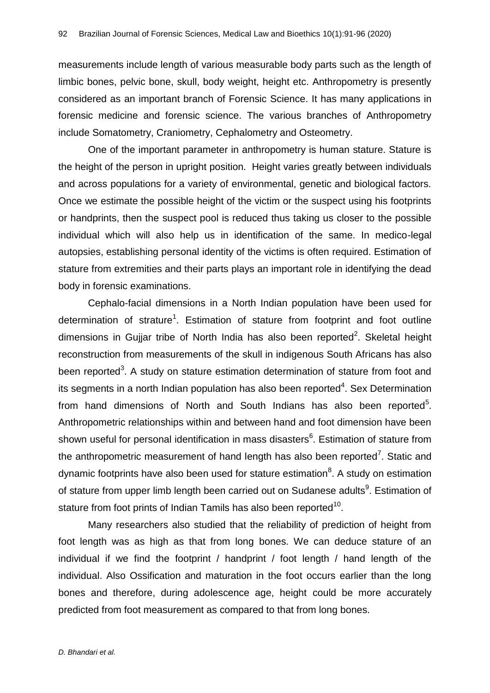measurements include length of various measurable body parts such as the length of limbic bones, pelvic bone, skull, body weight, height etc. Anthropometry is presently considered as an important branch of Forensic Science. It has many applications in forensic medicine and forensic science. The various branches of Anthropometry include Somatometry, Craniometry, Cephalometry and Osteometry.

One of the important parameter in anthropometry is human stature. Stature is the height of the person in upright position. Height varies greatly between individuals and across populations for a variety of environmental, genetic and biological factors. Once we estimate the possible height of the victim or the suspect using his footprints or handprints, then the suspect pool is reduced thus taking us closer to the possible individual which will also help us in identification of the same. In medico-legal autopsies, establishing personal identity of the victims is often required. Estimation of stature from extremities and their parts plays an important role in identifying the dead body in forensic examinations.

Cephalo-facial dimensions in a North Indian population have been used for determination of strature<sup>1</sup>. Estimation of stature from footprint and foot outline dimensions in Gujjar tribe of North India has also been reported<sup>2</sup>. Skeletal height reconstruction from measurements of the skull in indigenous South Africans has also been reported<sup>3</sup>. A study on stature estimation determination of stature from foot and its segments in a north Indian population has also been reported<sup>4</sup>. Sex Determination from hand dimensions of North and South Indians has also been reported $5$ . Anthropometric relationships within and between hand and foot dimension have been shown useful for personal identification in mass disasters<sup>6</sup>. Estimation of stature from the anthropometric measurement of hand length has also been reported<sup>7</sup>. Static and dynamic footprints have also been used for stature estimation ${}^{8}$ . A study on estimation of stature from upper limb length been carried out on Sudanese adults<sup>9</sup>. Estimation of stature from foot prints of Indian Tamils has also been reported $^{10}$ .

Many researchers also studied that the reliability of prediction of height from foot length was as high as that from long bones. We can deduce stature of an individual if we find the footprint / handprint / foot length / hand length of the individual. Also Ossification and maturation in the foot occurs earlier than the long bones and therefore, during adolescence age, height could be more accurately predicted from foot measurement as compared to that from long bones.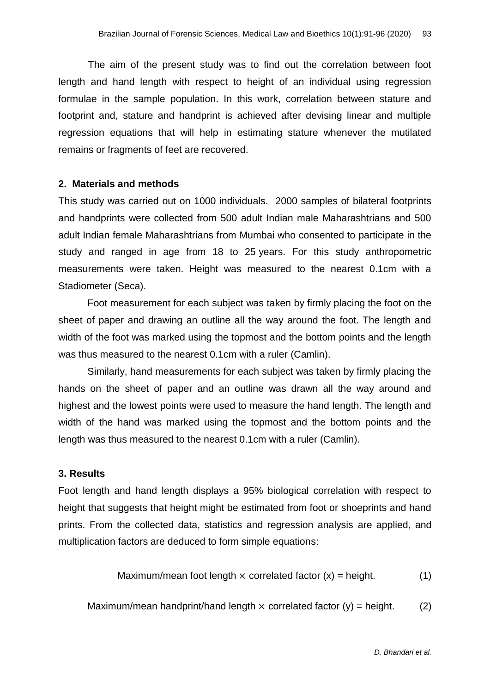The aim of the present study was to find out the correlation between foot length and hand length with respect to height of an individual using regression formulae in the sample population. In this work, correlation between stature and footprint and, stature and handprint is achieved after devising linear and multiple regression equations that will help in estimating stature whenever the mutilated remains or fragments of feet are recovered.

#### **2. Materials and methods**

This study was carried out on 1000 individuals. 2000 samples of bilateral footprints and handprints were collected from 500 adult Indian male Maharashtrians and 500 adult Indian female Maharashtrians from Mumbai who consented to participate in the study and ranged in age from 18 to 25 years. For this study anthropometric measurements were taken. Height was measured to the nearest 0.1cm with a Stadiometer (Seca).

Foot measurement for each subject was taken by firmly placing the foot on the sheet of paper and drawing an outline all the way around the foot. The length and width of the foot was marked using the topmost and the bottom points and the length was thus measured to the nearest 0.1cm with a ruler (Camlin).

Similarly, hand measurements for each subject was taken by firmly placing the hands on the sheet of paper and an outline was drawn all the way around and highest and the lowest points were used to measure the hand length. The length and width of the hand was marked using the topmost and the bottom points and the length was thus measured to the nearest 0.1cm with a ruler (Camlin).

#### **3. Results**

Foot length and hand length displays a 95% biological correlation with respect to height that suggests that height might be estimated from foot or shoeprints and hand prints. From the collected data, statistics and regression analysis are applied, and multiplication factors are deduced to form simple equations:

Maximum/mean foot length 
$$
\times
$$
 correlated factor  $(x)$  = height. (1)

Maximum/mean handprint/hand length  $\times$  correlated factor (y) = height. (2)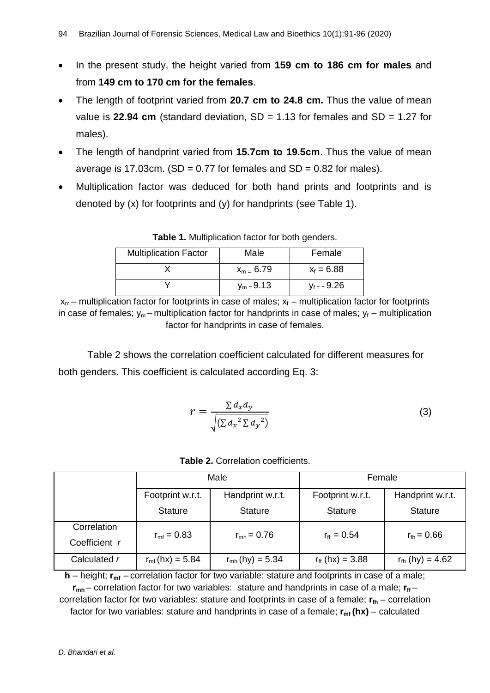- In the present study, the height varied from **159 cm to 186 cm for males** and from **149 cm to 170 cm for the females**.
- The length of footprint varied from **20.7 cm to 24.8 cm.** Thus the value of mean value is **22.94 cm** (standard deviation, SD = 1.13 for females and SD = 1.27 for males).
- The length of handprint varied from **15.7cm to 19.5cm**. Thus the value of mean average is 17.03cm. (SD =  $0.77$  for females and SD =  $0.82$  for males).
- Multiplication factor was deduced for both hand prints and footprints and is denoted by (x) for footprints and (y) for handprints (see Table 1).

| <b>Multiplication Factor</b> | Male           | Female                |
|------------------------------|----------------|-----------------------|
|                              | $x_{m} = 6.79$ | $x_f = 6.88$          |
|                              | $y_m = 9.13$   | $V_{\text{f}} = 9.26$ |

**Table 1.** Multiplication factor for both genders.

 $x_m$  – multiplication factor for footprints in case of males;  $x_f$  – multiplication factor for footprints in case of females;  $y_m$  – multiplication factor for handprints in case of males;  $y_f$  – multiplication factor for handprints in case of females.

Table 2 shows the correlation coefficient calculated for different measures for both genders. This coefficient is calculated according Eq. 3:

$$
r = \frac{\sum d_x d_y}{\sqrt{(\sum d_x^2 \sum d_y^2)}}
$$
(3)

|               | Male                     |                          | Female                   |                             |
|---------------|--------------------------|--------------------------|--------------------------|-----------------------------|
|               | Footprint w.r.t.         | Handprint w.r.t.         | Footprint w.r.t.         | Handprint w.r.t.            |
|               | <b>Stature</b>           | <b>Stature</b>           | <b>Stature</b>           | <b>Stature</b>              |
| Correlation   | $r_{\rm mf} = 0.83$      | $r_{\rm mb} = 0.76$      | $r_{\rm ff} = 0.54$      | $r_{\text{fh}} = 0.66$      |
| Coefficient r |                          |                          |                          |                             |
| Calculated r  | $r_{\rm mf}$ (hx) = 5.84 | $r_{\rm mh}$ (hy) = 5.34 | $r_{\rm ff}$ (hx) = 3.88 | $r_{\text{fh}}$ (hy) = 4.62 |

 $h$  – height;  $r_{mf}$  – correlation factor for two variable: stature and footprints in case of a male;

 $r_{mh}$  – correlation factor for two variables: stature and handprints in case of a male;  $r_{ff}$  – correlation factor for two variables: stature and footprints in case of a female;  $\bf{r}_{\rm fb}$  – correlation factor for two variables: stature and handprints in case of a female;  $r_{\text{mf}}(hx)$  – calculated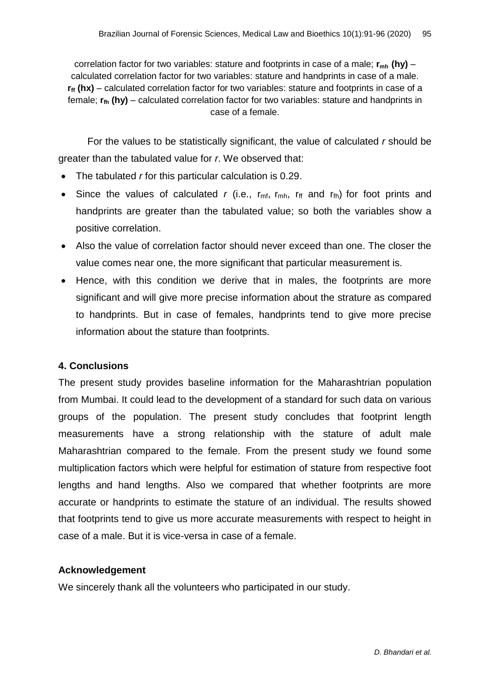correlation factor for two variables: stature and footprints in case of a male; **rmh (hy)** – calculated correlation factor for two variables: stature and handprints in case of a male.  $\mathbf{r}_{\mathbf{f}}$  (hx) – calculated correlation factor for two variables: stature and footprints in case of a female; **rfh (hy)** – calculated correlation factor for two variables: stature and handprints in case of a female.

For the values to be statistically significant, the value of calculated *r* should be greater than the tabulated value for *r*. We observed that:

- The tabulated *r* for this particular calculation is 0.29.
- Since the values of calculated  $r$  (i.e.,  $r_{\text{mf}}$ ,  $r_{\text{mf}}$ ,  $r_{\text{ff}}$  and  $r_{\text{fh}}$ ) for foot prints and handprints are greater than the tabulated value; so both the variables show a positive correlation.
- Also the value of correlation factor should never exceed than one. The closer the value comes near one, the more significant that particular measurement is.
- Hence, with this condition we derive that in males, the footprints are more significant and will give more precise information about the strature as compared to handprints. But in case of females, handprints tend to give more precise information about the stature than footprints.

## **4. Conclusions**

The present study provides baseline information for the Maharashtrian population from Mumbai. It could lead to the development of a standard for such data on various groups of the population. The present study concludes that footprint length measurements have a strong relationship with the stature of adult male Maharashtrian compared to the female. From the present study we found some multiplication factors which were helpful for estimation of stature from respective foot lengths and hand lengths. Also we compared that whether footprints are more accurate or handprints to estimate the stature of an individual. The results showed that footprints tend to give us more accurate measurements with respect to height in case of a male. But it is vice-versa in case of a female.

## **Acknowledgement**

We sincerely thank all the volunteers who participated in our study.